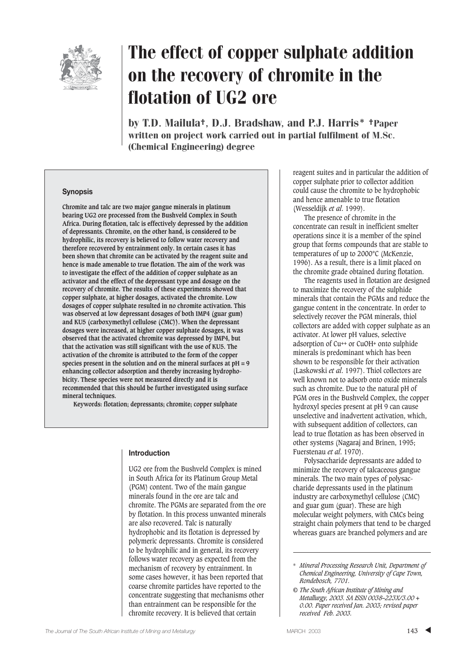

# The effect of copper sulphate addition on the recovery of chromite in the flotation of UG2 ore

by T.D. Mailula†, D.J. Bradshaw, and P.J. Harris\* †Paper written on project work carried out in partial fulfilment of M.Sc. (Chemical Engineering) degree

#### **Synopsis**

**Chromite and talc are two major gangue minerals in platinum bearing UG2 ore processed from the Bushveld Complex in South Africa. During flotation, talc is effectively depressed by the addition of depressants. Chromite, on the other hand, is considered to be hydrophilic, its recovery is believed to follow water recovery and therefore recovered by entrainment only. In certain cases it has been shown that chromite can be activated by the reagent suite and hence is made amenable to true flotation. The aim of the work was to investigate the effect of the addition of copper sulphate as an activator and the effect of the depressant type and dosage on the recovery of chromite. The results of these experiments showed that copper sulphate, at higher dosages, activated the chromite. Low dosages of copper sulphate resulted in no chromite activation. This was observed at low depressant dosages of both IMP4 (guar gum) and KU5 (carboxymethyl cellulose (CMC)). When the depressant dosages were increased, at higher copper sulphate dosages, it was observed that the activated chromite was depressed by IMP4, but that the activation was still significant with the use of KU5. The activation of the chromite is attributed to the form of the copper species present in the solution and on the mineral surfaces at pH = 9 enhancing collector adsorption and thereby increasing hydrophobicity. These species were not measured directly and it is recommended that this should be further investigated using surface mineral techniques.**

**Keywords: flotation; depressants; chromite; copper sulphate**

#### **Introduction**

UG2 ore from the Bushveld Complex is mined in South Africa for its Platinum Group Metal (PGM) content. Two of the main gangue minerals found in the ore are talc and chromite. The PGMs are separated from the ore by flotation. In this process unwanted minerals are also recovered. Talc is naturally hydrophobic and its flotation is depressed by polymeric depressants. Chromite is considered to be hydrophilic and in general, its recovery follows water recovery as expected from the mechanism of recovery by entrainment. In some cases however, it has been reported that coarse chromite particles have reported to the concentrate suggesting that mechanisms other than entrainment can be responsible for the chromite recovery. It is believed that certain

reagent suites and in particular the addition of copper sulphate prior to collector addition could cause the chromite to be hydrophobic and hence amenable to true flotation (Wesseldijk *et al*. 1999).

The presence of chromite in the concentrate can result in inefficient smelter operations since it is a member of the spinel group that forms compounds that are stable to temperatures of up to 2000°C (McKenzie, 1996). As a result, there is a limit placed on the chromite grade obtained during flotation.

The reagents used in flotation are designed to maximize the recovery of the sulphide minerals that contain the PGMs and reduce the gangue content in the concentrate. In order to selectively recover the PGM minerals, thiol collectors are added with copper sulphate as an activator. At lower pH values, selective adsorption of Cu++ or CuOH+ onto sulphide minerals is predominant which has been shown to be responsible for their activation (Laskowski *et al*. 1997). Thiol collectors are well known not to adsorb onto oxide minerals such as chromite. Due to the natural pH of PGM ores in the Bushveld Complex, the copper hydroxyl species present at pH 9 can cause unselective and inadvertent activation, which, with subsequent addition of collectors, can lead to true flotation as has been observed in other systems (Nagaraj and Brinen, 1995; Fuerstenau *et al*. 1970).

Polysaccharide depressants are added to minimize the recovery of talcaceous gangue minerals. The two main types of polysaccharide depressants used in the platinum industry are carboxymethyl cellulose (CMC) and guar gum (guar). These are high molecular weight polymers, with CMCs being straight chain polymers that tend to be charged whereas guars are branched polymers and are

<sup>\*</sup> *Mineral Processing Research Unit, Department of Chemical Engineering, University of Cape Town, Rondebosch, 7701.*

*<sup>©</sup> The South African Institute of Mining and Metallurgy, 2003. SA ISSN 0038–223X/3.00 + 0.00. Paper received Jan. 2003; revised paper received Feb. 2003.*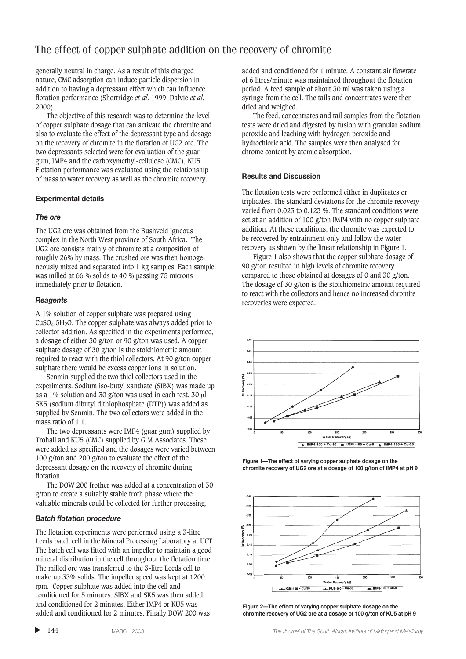# The effect of copper sulphate addition on the recovery of chromite

generally neutral in charge. As a result of this charged nature, CMC adsorption can induce particle dispersion in addition to having a depressant effect which can influence flotation performance (Shortridge *et al*. 1999; Dalvie *et al*. 2000).

The objective of this research was to determine the level of copper sulphate dosage that can activate the chromite and also to evaluate the effect of the depressant type and dosage on the recovery of chromite in the flotation of UG2 ore. The two depressants selected were for evaluation of the guar gum, IMP4 and the carboxymethyl-cellulose (CMC), KU5. Flotation performance was evaluated using the relationship of mass to water recovery as well as the chromite recovery.

## **Experimental details**

## *The ore*

The UG2 ore was obtained from the Bushveld Igneous complex in the North West province of South Africa. The UG2 ore consists mainly of chromite at a composition of roughly 26% by mass. The crushed ore was then homogeneously mixed and separated into 1 kg samples. Each sample was milled at 66 % solids to 40 % passing 75 microns immediately prior to flotation.

## *Reagents*

A 1% solution of copper sulphate was prepared using  $CuSO<sub>4</sub>$ .5H<sub>2</sub>O. The copper sulphate was always added prior to collector addition. As specified in the experiments performed, a dosage of either 30 g/ton or 90 g/ton was used. A copper sulphate dosage of 30 g/ton is the stoichiometric amount required to react with the thiol collectors. At 90 g/ton copper sulphate there would be excess copper ions in solution.

Senmin supplied the two thiol collectors used in the experiments. Sodium iso-butyl xanthate (SIBX) was made up as a 1% solution and 30 g/ton was used in each test. 30 µl SK5 (sodium dibutyl dithiophosphate (DTP)) was added as supplied by Senmin. The two collectors were added in the mass ratio of 1:1.

The two depressants were IMP4 (guar gum) supplied by Trohall and KU5 (CMC) supplied by G M Associates. These were added as specified and the dosages were varied between 100 g/ton and 200 g/ton to evaluate the effect of the depressant dosage on the recovery of chromite during flotation.

The DOW 200 frother was added at a concentration of 30 g/ton to create a suitably stable froth phase where the valuable minerals could be collected for further processing.

## *Batch flotation procedure*

The flotation experiments were performed using a 3-litre Leeds batch cell in the Mineral Processing Laboratory at UCT. The batch cell was fitted with an impeller to maintain a good mineral distribution in the cell throughout the flotation time. The milled ore was transferred to the 3-litre Leeds cell to make up 33% solids. The impeller speed was kept at 1200 rpm. Copper sulphate was added into the cell and conditioned for 5 minutes. SIBX and SK5 was then added and conditioned for 2 minutes. Either IMP4 or KU5 was added and conditioned for 2 minutes. Finally DOW 200 was

added and conditioned for 1 minute. A constant air flowrate of 6 litres/minute was maintained throughout the flotation period. A feed sample of about 30 ml was taken using a syringe from the cell. The tails and concentrates were then dried and weighed.

The feed, concentrates and tail samples from the flotation tests were dried and digested by fusion with granular sodium peroxide and leaching with hydrogen peroxide and hydrochloric acid. The samples were then analysed for chrome content by atomic absorption.

#### **Results and Discussion**

The flotation tests were performed either in duplicates or triplicates. The standard deviations for the chromite recovery varied from 0.023 to 0.123 %. The standard conditions were set at an addition of 100 g/ton IMP4 with no copper sulphate addition. At these conditions, the chromite was expected to be recovered by entrainment only and follow the water recovery as shown by the linear relationship in Figure 1.

Figure 1 also shows that the copper sulphate dosage of 90 g/ton resulted in high levels of chromite recovery compared to those obtained at dosages of 0 and 30 g/ton. The dosage of 30 g/ton is the stoichiometric amount required to react with the collectors and hence no increased chromite recoveries were expected.



**Figure 1—The effect of varying copper sulphate dosage on the chromite recovery of UG2 ore at a dosage of 100 g/ton of IMP4 at pH 9**



**Figure 2—The effect of varying copper sulphate dosage on the chromite recovery of UG2 ore at a dosage of 100 g/ton of KU5 at pH 9**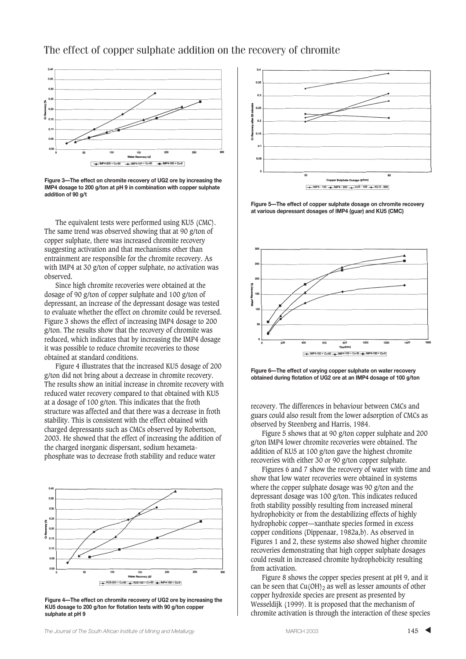# The effect of copper sulphate addition on the recovery of chromite



**Figure 3—The effect on chromite recovery of UG2 ore by increasing the IMP4 dosage to 200 g/ton at pH 9 in combination with copper sulphate addition of 90 g/t**

The equivalent tests were performed using KU5 (CMC). The same trend was observed showing that at 90 g/ton of copper sulphate, there was increased chromite recovery suggesting activation and that mechanisms other than entrainment are responsible for the chromite recovery. As with IMP4 at 30 g/ton of copper sulphate, no activation was observed.

Since high chromite recoveries were obtained at the dosage of 90 g/ton of copper sulphate and 100 g/ton of depressant, an increase of the depressant dosage was tested to evaluate whether the effect on chromite could be reversed. Figure 3 shows the effect of increasing IMP4 dosage to 200 g/ton. The results show that the recovery of chromite was reduced, which indicates that by increasing the IMP4 dosage it was possible to reduce chromite recoveries to those obtained at standard conditions.

Figure 4 illustrates that the increased KU5 dosage of 200 g/ton did not bring about a decrease in chromite recovery. The results show an initial increase in chromite recovery with reduced water recovery compared to that obtained with KU5 at a dosage of 100 g/ton. This indicates that the froth structure was affected and that there was a decrease in froth stability. This is consistent with the effect obtained with charged depressants such as CMCs observed by Robertson, 2003. He showed that the effect of increasing the addition of the charged inorganic dispersant, sodium hexametaphosphate was to decrease froth stability and reduce water



**Figure 4—The effect on chromite recovery of UG2 ore by increasing the KU5 dosage to 200 g/ton for flotation tests with 90 g/ton copper sulphate at pH 9**



**Figure 5—The effect of copper sulphate dosage on chromite recovery at various depressant dosages of IMP4 (guar) and KU5 (CMC)**



**Figure 6—The effect of varying copper sulphate on water recovery obtained during flotation of UG2 ore at an IMP4 dosage of 100 g/ton**

recovery. The differences in behaviour between CMCs and guars could also result from the lower adsorption of CMCs as observed by Steenberg and Harris, 1984.

Figure 5 shows that at 90 g/ton copper sulphate and 200 g/ton IMP4 lower chromite recoveries were obtained. The addition of KU5 at 100 g/ton gave the highest chromite recoveries with either 30 or 90 g/ton copper sulphate.

Figures 6 and 7 show the recovery of water with time and show that low water recoveries were obtained in systems where the copper sulphate dosage was 90 g/ton and the depressant dosage was 100 g/ton. This indicates reduced froth stability possibly resulting from increased mineral hydrophobicity or from the destabilizing effects of highly hydrophobic copper—xanthate species formed in excess copper conditions (Dippenaar, 1982a,b). As observed in Figures 1 and 2, these systems also showed higher chromite recoveries demonstrating that high copper sulphate dosages could result in increased chromite hydrophobicity resulting from activation.

Figure 8 shows the copper species present at pH 9, and it can be seen that  $Cu(OH)_2$  as well as lesser amounts of other copper hydroxide species are present as presented by Wesseldijk (1999). It is proposed that the mechanism of chromite activation is through the interaction of these species